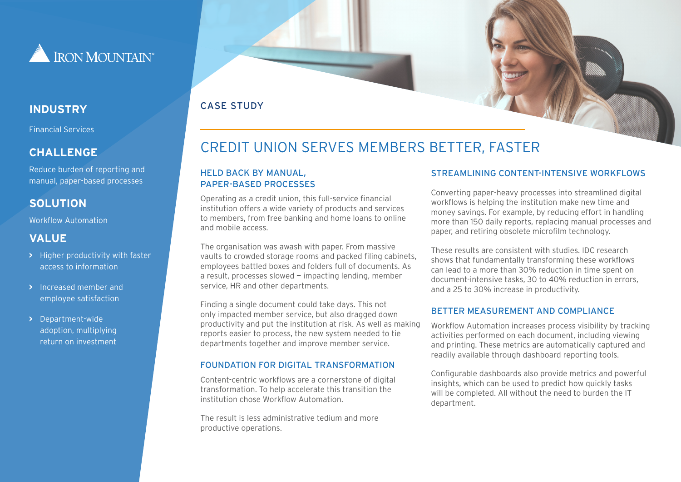

Financial Services

#### **CHALLENGE**

Reduce burden of reporting and manual, paper-based processes

## **SOLUTION**

Workflow Automation

#### **VALUE**

- **>** Higher productivity with faster access to information
- **>** Increased member and employee satisfaction
- **>** Department-wide adoption, multiplying return on investment

### CASE STUDY **INDUSTRY**

# CREDIT UNION SERVES MEMBERS BETTER, FASTER

#### HELD BACK BY MANUAL, PAPER-BASED PROCESSES

Operating as a credit union, this full-service financial institution offers a wide variety of products and services to members, from free banking and home loans to online and mobile access.

The organisation was awash with paper. From massive vaults to crowded storage rooms and packed filing cabinets, employees battled boxes and folders full of documents. As a result, processes slowed — impacting lending, member service, HR and other departments.

Finding a single document could take days. This not only impacted member service, but also dragged down productivity and put the institution at risk. As well as making reports easier to process, the new system needed to tie departments together and improve member service.

#### FOUNDATION FOR DIGITAL TRANSFORMATION

Content-centric workflows are a cornerstone of digital transformation. To help accelerate this transition the institution chose Workflow Automation.

The result is less administrative tedium and more productive operations.

#### STREAMLINING CONTENT-INTENSIVE WORKELOWS

Converting paper-heavy processes into streamlined digital workflows is helping the institution make new time and money savings. For example, by reducing effort in handling more than 150 daily reports, replacing manual processes and paper, and retiring obsolete microfilm technology.

These results are consistent with studies. IDC research shows that fundamentally transforming these workflows can lead to a more than 30% reduction in time spent on document-intensive tasks, 30 to 40% reduction in errors, and a 25 to 30% increase in productivity.

#### BETTER MEASUREMENT AND COMPLIANCE

Workflow Automation increases process visibility by tracking activities performed on each document, including viewing and printing. These metrics are automatically captured and readily available through dashboard reporting tools.

Configurable dashboards also provide metrics and powerful insights, which can be used to predict how quickly tasks will be completed. All without the need to burden the IT department.